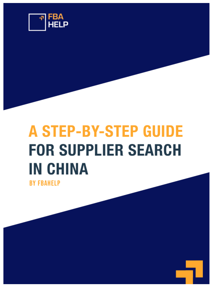

# **A STEP-BY-STEP GUIDE FOR SUPPLIER SEARCH IN CHINA**

**BY FBAHELP**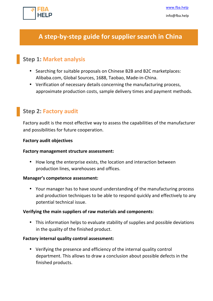

# A step-by-step guide for supplier search in China

# **Step 1: Market analysis**

- Searching for suitable proposals on Chinese B2B and B2C marketplaces: Alibaba.com, Global Sources, 1688, Taobao, Made-in-China.
- Verification of necessary details concerning the manufacturing process, approximate production costs, sample delivery times and payment methods.

## **Step 2: Factory audit**

Factory audit is the most effective way to assess the capabilities of the manufacturer and possibilities for future cooperation.

#### **Factory audit objectives**

#### **Factory management structure assessment:**

• How long the enterprise exists, the location and interaction between production lines, warehouses and offices.

#### **Manager's competence assessment:**

• Your manager has to have sound understanding of the manufacturing process and production techniques to be able to respond quickly and effectively to any potential technical issue.

#### **Verifying the main suppliers of raw materials and components:**

• This information helps to evaluate stability of supplies and possible deviations in the quality of the finished product.

#### **Factory internal quality control assessment:**

• Verifying the presence and efficiency of the internal quality control department. This allows to draw a conclusion about possible defects in the finished products.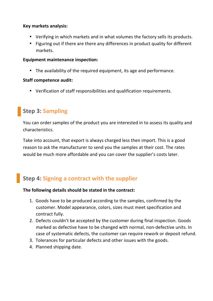#### **Key markets analysis:**

- Verifying in which markets and in what volumes the factory sells its products.
- Figuring out if there are there any differences in product quality for different markets.

#### **Equipment maintenance inspection:**

• The availability of the required equipment, its age and performance.

## **Staff competence audit:**

• Verification of staff responsibilities and qualification requirements.

# **Step 3: Sampling**

You can order samples of the product you are interested in to assess its quality and characteristics.

Take into account, that export is always charged less then import. This is a good reason to ask the manufacturer to send you the samples at their cost. The rates would be much more affordable and you can cover the supplier's costs later.

# **Step 4: Signing a contract with the supplier**

## The following details should be stated in the contract:

- 1. Goods have to be produced according to the samples, confirmed by the customer. Model appearance, colors, sizes must meet specification and contract fully.
- 2. Defects couldn't be accepted by the customer during final inspection. Goods marked as defective have to be changed with normal, non-defective units. In case of systematic defects, the customer can require rework or deposit refund.
- 3. Tolerances for particular defects and other issues with the goods.
- 4. Planned shipping date.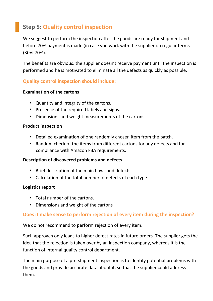# **Step 5: Quality control inspection**

We suggest to perform the inspection after the goods are ready for shipment and before 70% payment is made (in case you work with the supplier on regular terms (30%-70%).

The benefits are obvious: the supplier doesn't receive payment until the inspection is performed and he is motivated to eliminate all the defects as quickly as possible.

## **Quality control inspection should include:**

#### **Examination of the cartons**

- Quantity and integrity of the cartons.
- Presence of the required labels and signs.
- Dimensions and weight measurements of the cartons.

#### **Product inspection**

- Detailed examination of one randomly chosen item from the batch.
- Random check of the items from different cartons for any defects and for compliance with Amazon FBA requirements.

#### **Description of discovered problems and defects**

- Brief description of the main flaws and defects.
- Calculation of the total number of defects of each type.

#### **Logistics report**

- $\bullet$  Total number of the cartons.
- Dimensions and weight of the cartons

## **Does it make sense to perform rejection of every item during the inspection?**

We do not recommend to perform rejection of every item.

Such approach only leads to higher defect rates in future orders. The supplier gets the idea that the rejection is taken over by an inspection company, whereas it is the function of internal quality control department.

The main purpose of a pre-shipment inspection is to identify potential problems with the goods and provide accurate data about it, so that the supplier could address them.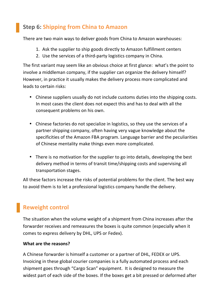# **Step 6: Shipping from China to Amazon**

There are two main ways to deliver goods from China to Amazon warehouses:

- 1. Ask the supplier to ship goods directly to Amazon fulfillment centers
- 2. Use the services of a third-party logistics company in China.

The first variant may seem like an obvious choice at first glance: what's the point to involve a middleman company, if the supplier can organize the delivery himself? However, in practice it usually makes the delivery process more complicated and leads to certain risks:

- Chinese suppliers usually do not include customs duties into the shipping costs. In most cases the client does not expect this and has to deal with all the consequent problems on his own.
- Chinese factories do not specialize in logistics, so they use the services of a partner shipping company, often having very vague knowledge about the specificities of the Amazon FBA program. Language barrier and the peculiarities of Chinese mentality make things even more complicated.
- There is no motivation for the supplier to go into details, developing the best delivery method in terms of transit time/shipping costs and supervising all transportation stages.

All these factors increase the risks of potential problems for the client. The best way to avoid them is to let a professional logistics company handle the delivery.

# **Reweight control**

The situation when the volume weight of a shipment from China increases after the forwarder receives and remeasures the boxes is quite common (especially when it comes to express delivery by DHL, UPS or Fedex).

## **What are the reasons?**

A Chinese forwarder is himself a customer or a partner of DHL, FEDEX or UPS. Invoicing in these global courier companies is a fully automated process and each shipment goes through "Cargo Scan" equipment. It is designed to measure the widest part of each side of the boxes. If the boxes get a bit pressed or deformed after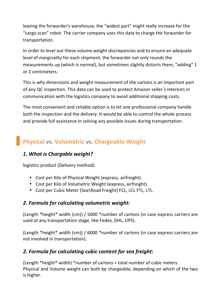leaving the forwarder's warehouse, the "widest part" might really increase for the "cargo scan" robot. The carrier company uses this data to charge the forwarder for transportation.

In order to level out these volume weight discrepancies and to ensure an adequate level of marginality for each shipment, the forwarder not only rounds the measurements up (which is normal), but sometimes slightly distorts them, "adding" 1 or 2 centimeters.

This is why dimensions and weight measurement of the cartons is an important part of any QC inspection. This data can be used to protect Amazon seller's interests in communication with the logistics company to avoid additional shipping costs.

The most convenient and reliable option is to let one professional company handle both the inspection and the delivery. It would be able to control the whole process and provide full assistance in solving any possible issues during transportation.

# **Physical vs. Volumetric vs. Chargeable Weight**

## **1.** What is Chargable weight?

logistics product (Delivery method).

- Cost per Kilo of Physical Weight (express, airfreight).
- Cost per Kilo of Volumetric Weight (express, airfreight).
- Cost per Cubic Meter (Sea\Road Freight) FCL, LCL FTL, LTL.

## *2. Formula for calculating volumetric weight:*

(Length \*height\* width (cm)) / 5000 \*number of cartons (in case express carriers are used at any transportation stage, like Fedex, DHL, UPS).

(Length \*height\* width (cm)) / 6000 \*number of cartons (in case express carriers are not involved in transportation).

# *2. Formula for calculating cubic content for sea freight:*

(Length \*height\* width) \*number of cartons = total number of cubic meters. Physical and Volume weight can both be chargeable, depending on which of the two is higher.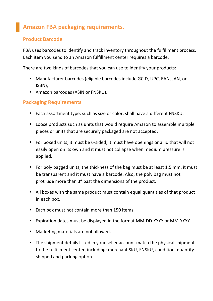# **Amazon FBA packaging requirements.**

## **Product Barcode**

FBA uses barcodes to identify and track inventory throughout the fulfillment process. Each item you send to an Amazon fulfillment center requires a barcode.

There are two kinds of barcodes that you can use to identify your products:

- Manufacturer barcodes (eligible barcodes include GCID, UPC, EAN, JAN, or ISBN);
- Amazon barcodes (ASIN or FNSKU).

## **Packaging Requirements**

- Each assortment type, such as size or color, shall have a different FNSKU.
- Loose products such as units that would require Amazon to assemble multiple pieces or units that are securely packaged are not accepted.
- For boxed units, it must be 6-sided, it must have openings or a lid that will not easily open on its own and it must not collapse when medium pressure is applied.
- For poly bagged units, the thickness of the bag must be at least 1.5 mm, it must be transparent and it must have a barcode. Also, the poly bag must not protrude more than 3" past the dimensions of the product.
- All boxes with the same product must contain equal quantities of that product in each hox.
- Each box must not contain more than 150 items.
- Expiration dates must be displayed in the format MM-DD-YYYY or MM-YYYY.
- Marketing materials are not allowed.
- The shipment details listed in your seller account match the physical shipment to the fulfillment center, including: merchant SKU, FNSKU, condition, quantity shipped and packing option.